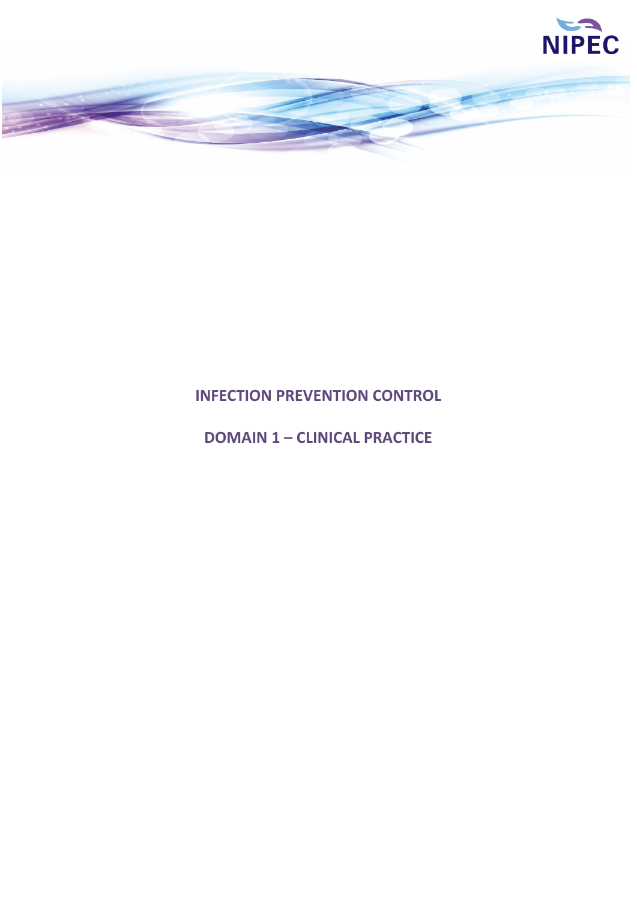

# **INFECTION PREVENTION CONTROL**

# **DOMAIN 1 – CLINICAL PRACTICE**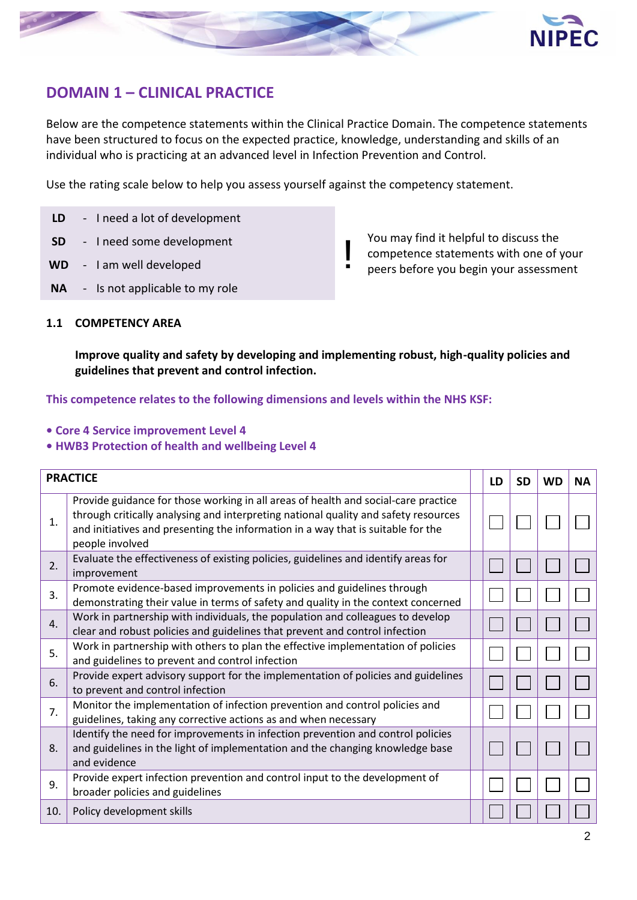

## **DOMAIN 1 – CLINICAL PRACTICE**

Below are the competence statements within the Clinical Practice Domain. The competence statements have been structured to focus on the expected practice, knowledge, understanding and skills of an individual who is practicing at an advanced level in Infection Prevention and Control.

Use the rating scale below to help you assess yourself against the competency statement.

- **LD** I need a lot of development
- **SD** I need some development<br> **WD** I am well developed
- 
- **NA** Is not applicable to my role

You may find it helpful to discuss the competence statements with one of your peers before you begin your assessment

#### **1.1 COMPETENCY AREA**

**Improve quality and safety by developing and implementing robust, high-quality policies and guidelines that prevent and control infection.**

- **Core 4 Service improvement Level 4**
- **HWB3 Protection of health and wellbeing Level 4**

|                | <b>PRACTICE</b>                                                                                                                                                                                                                                                                  | LD | <b>SD</b> | <b>WD</b> | <b>NA</b> |
|----------------|----------------------------------------------------------------------------------------------------------------------------------------------------------------------------------------------------------------------------------------------------------------------------------|----|-----------|-----------|-----------|
| 1.             | Provide guidance for those working in all areas of health and social-care practice<br>through critically analysing and interpreting national quality and safety resources<br>and initiatives and presenting the information in a way that is suitable for the<br>people involved |    |           |           |           |
| 2.             | Evaluate the effectiveness of existing policies, guidelines and identify areas for<br>improvement                                                                                                                                                                                |    |           |           |           |
| 3.             | Promote evidence-based improvements in policies and guidelines through<br>demonstrating their value in terms of safety and quality in the context concerned                                                                                                                      |    |           |           |           |
| $\mathbf{4}$ . | Work in partnership with individuals, the population and colleagues to develop<br>clear and robust policies and guidelines that prevent and control infection                                                                                                                    |    |           |           |           |
| 5.             | Work in partnership with others to plan the effective implementation of policies<br>and guidelines to prevent and control infection                                                                                                                                              |    |           |           |           |
| 6.             | Provide expert advisory support for the implementation of policies and guidelines<br>to prevent and control infection                                                                                                                                                            |    |           |           |           |
| 7.             | Monitor the implementation of infection prevention and control policies and<br>guidelines, taking any corrective actions as and when necessary                                                                                                                                   |    |           |           |           |
| 8.             | Identify the need for improvements in infection prevention and control policies<br>and guidelines in the light of implementation and the changing knowledge base<br>and evidence                                                                                                 |    |           |           |           |
| 9.             | Provide expert infection prevention and control input to the development of<br>broader policies and guidelines                                                                                                                                                                   |    |           |           |           |
| 10.            | Policy development skills                                                                                                                                                                                                                                                        |    |           |           |           |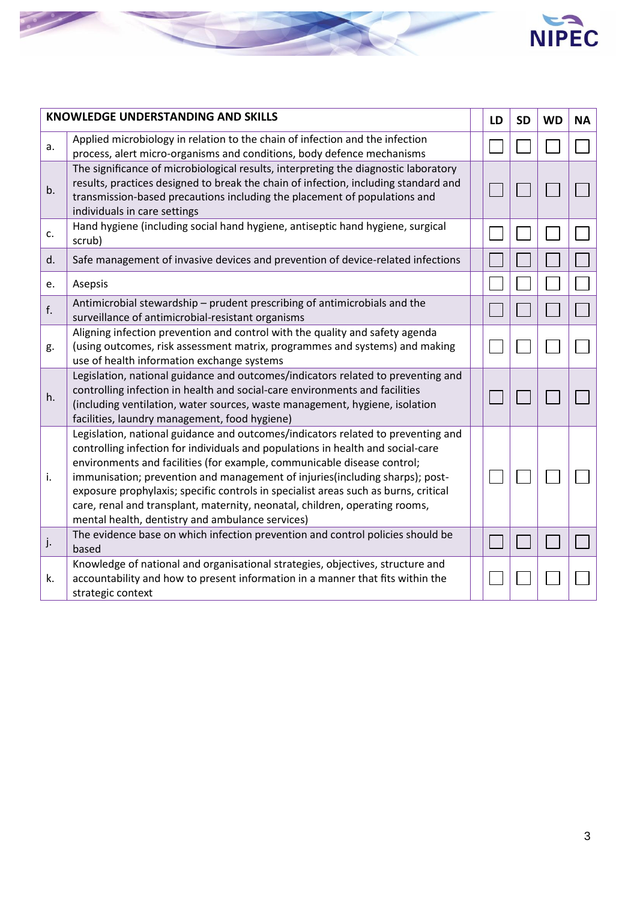



|    | <b>KNOWLEDGE UNDERSTANDING AND SKILLS</b>                                                                                                                                                                                                                                                                                                                                                                                                                                                                                                                | LD | <b>SD</b> | <b>WD</b> | <b>NA</b> |
|----|----------------------------------------------------------------------------------------------------------------------------------------------------------------------------------------------------------------------------------------------------------------------------------------------------------------------------------------------------------------------------------------------------------------------------------------------------------------------------------------------------------------------------------------------------------|----|-----------|-----------|-----------|
| a. | Applied microbiology in relation to the chain of infection and the infection<br>process, alert micro-organisms and conditions, body defence mechanisms                                                                                                                                                                                                                                                                                                                                                                                                   |    |           |           |           |
| b. | The significance of microbiological results, interpreting the diagnostic laboratory<br>results, practices designed to break the chain of infection, including standard and<br>transmission-based precautions including the placement of populations and<br>individuals in care settings                                                                                                                                                                                                                                                                  |    |           |           |           |
| c. | Hand hygiene (including social hand hygiene, antiseptic hand hygiene, surgical<br>scrub)                                                                                                                                                                                                                                                                                                                                                                                                                                                                 |    |           |           |           |
| d. | Safe management of invasive devices and prevention of device-related infections                                                                                                                                                                                                                                                                                                                                                                                                                                                                          |    |           |           |           |
| e. | Asepsis                                                                                                                                                                                                                                                                                                                                                                                                                                                                                                                                                  |    |           |           |           |
| f. | Antimicrobial stewardship - prudent prescribing of antimicrobials and the<br>surveillance of antimicrobial-resistant organisms                                                                                                                                                                                                                                                                                                                                                                                                                           |    |           |           |           |
| g. | Aligning infection prevention and control with the quality and safety agenda<br>(using outcomes, risk assessment matrix, programmes and systems) and making<br>use of health information exchange systems                                                                                                                                                                                                                                                                                                                                                |    |           |           |           |
| h. | Legislation, national guidance and outcomes/indicators related to preventing and<br>controlling infection in health and social-care environments and facilities<br>(including ventilation, water sources, waste management, hygiene, isolation<br>facilities, laundry management, food hygiene)                                                                                                                                                                                                                                                          |    |           |           |           |
| i. | Legislation, national guidance and outcomes/indicators related to preventing and<br>controlling infection for individuals and populations in health and social-care<br>environments and facilities (for example, communicable disease control;<br>immunisation; prevention and management of injuries(including sharps); post-<br>exposure prophylaxis; specific controls in specialist areas such as burns, critical<br>care, renal and transplant, maternity, neonatal, children, operating rooms,<br>mental health, dentistry and ambulance services) |    |           |           |           |
| j. | The evidence base on which infection prevention and control policies should be<br>based                                                                                                                                                                                                                                                                                                                                                                                                                                                                  |    |           |           |           |
| k. | Knowledge of national and organisational strategies, objectives, structure and<br>accountability and how to present information in a manner that fits within the<br>strategic context                                                                                                                                                                                                                                                                                                                                                                    |    |           |           |           |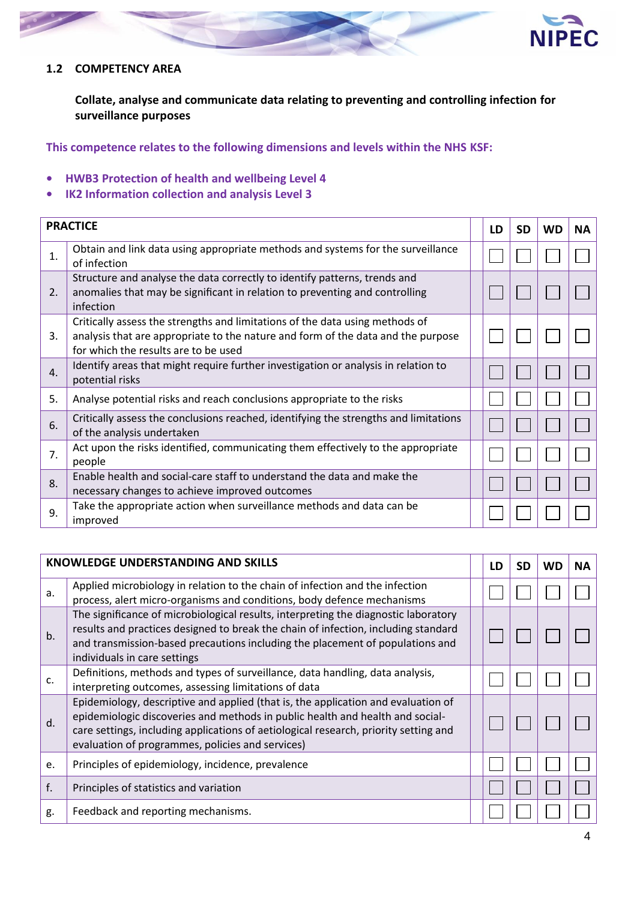

#### **1.2 COMPETENCY AREA**

**Collate, analyse and communicate data relating to preventing and controlling infection for surveillance purposes**

- **HWB3 Protection of health and wellbeing Level 4**
- **IK2 Information collection and analysis Level 3**

|    | <b>PRACTICE</b>                                                                                                                                                                                          | LD | SD | WD | <b>NA</b> |
|----|----------------------------------------------------------------------------------------------------------------------------------------------------------------------------------------------------------|----|----|----|-----------|
| 1. | Obtain and link data using appropriate methods and systems for the surveillance<br>of infection                                                                                                          |    |    |    |           |
| 2. | Structure and analyse the data correctly to identify patterns, trends and<br>anomalies that may be significant in relation to preventing and controlling<br>infection                                    |    |    |    |           |
| 3. | Critically assess the strengths and limitations of the data using methods of<br>analysis that are appropriate to the nature and form of the data and the purpose<br>for which the results are to be used |    |    |    |           |
| 4. | Identify areas that might require further investigation or analysis in relation to<br>potential risks                                                                                                    |    |    |    |           |
| 5. | Analyse potential risks and reach conclusions appropriate to the risks                                                                                                                                   |    |    |    |           |
| 6. | Critically assess the conclusions reached, identifying the strengths and limitations<br>of the analysis undertaken                                                                                       |    |    |    |           |
| 7. | Act upon the risks identified, communicating them effectively to the appropriate<br>people                                                                                                               |    |    |    |           |
| 8. | Enable health and social-care staff to understand the data and make the<br>necessary changes to achieve improved outcomes                                                                                |    |    |    |           |
| 9. | Take the appropriate action when surveillance methods and data can be<br>improved                                                                                                                        |    |    |    |           |

|    | <b>KNOWLEDGE UNDERSTANDING AND SKILLS</b>                                                                                                                                                                                                                                                                      | LD | <b>SD</b> | <b>WD</b> | <b>NA</b> |
|----|----------------------------------------------------------------------------------------------------------------------------------------------------------------------------------------------------------------------------------------------------------------------------------------------------------------|----|-----------|-----------|-----------|
| a. | Applied microbiology in relation to the chain of infection and the infection<br>process, alert micro-organisms and conditions, body defence mechanisms                                                                                                                                                         |    |           |           |           |
| b. | The significance of microbiological results, interpreting the diagnostic laboratory<br>results and practices designed to break the chain of infection, including standard<br>and transmission-based precautions including the placement of populations and<br>individuals in care settings                     |    |           |           |           |
| c. | Definitions, methods and types of surveillance, data handling, data analysis,<br>interpreting outcomes, assessing limitations of data                                                                                                                                                                          |    |           |           |           |
| d. | Epidemiology, descriptive and applied (that is, the application and evaluation of<br>epidemiologic discoveries and methods in public health and health and social-<br>care settings, including applications of aetiological research, priority setting and<br>evaluation of programmes, policies and services) |    |           |           |           |
| e. | Principles of epidemiology, incidence, prevalence                                                                                                                                                                                                                                                              |    |           |           |           |
| f. | Principles of statistics and variation                                                                                                                                                                                                                                                                         |    |           |           |           |
| g. | Feedback and reporting mechanisms.                                                                                                                                                                                                                                                                             |    |           |           |           |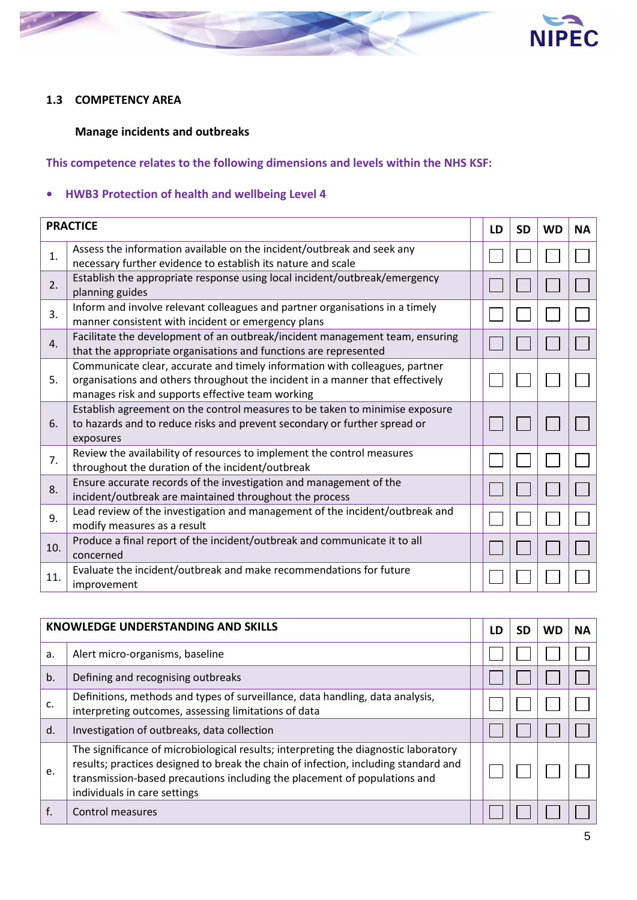

#### **1.3 COMPETENCY AREA**

### **Manage incidents and outbreaks**

## **This competence relates to the following dimensions and levels within the NHS KSF:**

#### **• HWB3 Protection of health and wellbeing Level 4**

|     | <b>PRACTICE</b>                                                                                                                                                                                                  | LD | <b>SD</b> | <b>WD</b> | <b>NA</b> |
|-----|------------------------------------------------------------------------------------------------------------------------------------------------------------------------------------------------------------------|----|-----------|-----------|-----------|
| 1.  | Assess the information available on the incident/outbreak and seek any<br>necessary further evidence to establish its nature and scale                                                                           |    |           |           |           |
| 2.  | Establish the appropriate response using local incident/outbreak/emergency<br>planning guides                                                                                                                    |    |           |           |           |
| 3.  | Inform and involve relevant colleagues and partner organisations in a timely<br>manner consistent with incident or emergency plans                                                                               |    |           |           |           |
| 4.  | Facilitate the development of an outbreak/incident management team, ensuring<br>that the appropriate organisations and functions are represented                                                                 |    |           |           |           |
| 5.  | Communicate clear, accurate and timely information with colleagues, partner<br>organisations and others throughout the incident in a manner that effectively<br>manages risk and supports effective team working |    |           |           |           |
| 6.  | Establish agreement on the control measures to be taken to minimise exposure<br>to hazards and to reduce risks and prevent secondary or further spread or<br>exposures                                           |    |           |           |           |
| 7.  | Review the availability of resources to implement the control measures<br>throughout the duration of the incident/outbreak                                                                                       |    |           |           |           |
| 8.  | Ensure accurate records of the investigation and management of the<br>incident/outbreak are maintained throughout the process                                                                                    |    |           |           |           |
| 9.  | Lead review of the investigation and management of the incident/outbreak and<br>modify measures as a result                                                                                                      |    |           |           |           |
| 10. | Produce a final report of the incident/outbreak and communicate it to all<br>concerned                                                                                                                           |    |           |           |           |
| 11. | Evaluate the incident/outbreak and make recommendations for future<br>improvement                                                                                                                                |    |           |           |           |

|    | <b>KNOWLEDGE UNDERSTANDING AND SKILLS</b>                                                                                                                                                                                                                                               | LD | SD | <b>WD</b> | <b>NA</b> |
|----|-----------------------------------------------------------------------------------------------------------------------------------------------------------------------------------------------------------------------------------------------------------------------------------------|----|----|-----------|-----------|
| a. | Alert micro-organisms, baseline                                                                                                                                                                                                                                                         |    |    |           |           |
| b. | Defining and recognising outbreaks                                                                                                                                                                                                                                                      |    |    |           |           |
| c. | Definitions, methods and types of surveillance, data handling, data analysis,<br>interpreting outcomes, assessing limitations of data                                                                                                                                                   |    |    |           |           |
| d. | Investigation of outbreaks, data collection                                                                                                                                                                                                                                             |    |    |           |           |
| e. | The significance of microbiological results; interpreting the diagnostic laboratory<br>results; practices designed to break the chain of infection, including standard and<br>transmission-based precautions including the placement of populations and<br>individuals in care settings |    |    |           |           |
| f. | Control measures                                                                                                                                                                                                                                                                        |    |    |           |           |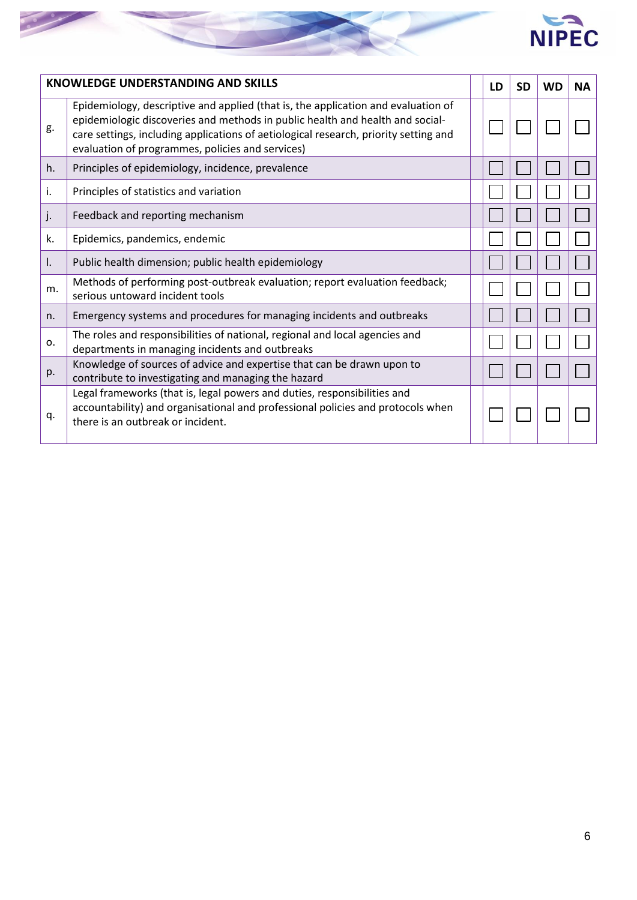

|              | <b>KNOWLEDGE UNDERSTANDING AND SKILLS</b>                                                                                                                                                                                                                                                                      | LD | <b>SD</b> | <b>WD</b> | <b>NA</b> |
|--------------|----------------------------------------------------------------------------------------------------------------------------------------------------------------------------------------------------------------------------------------------------------------------------------------------------------------|----|-----------|-----------|-----------|
| g.           | Epidemiology, descriptive and applied (that is, the application and evaluation of<br>epidemiologic discoveries and methods in public health and health and social-<br>care settings, including applications of aetiological research, priority setting and<br>evaluation of programmes, policies and services) |    |           |           |           |
| h.           | Principles of epidemiology, incidence, prevalence                                                                                                                                                                                                                                                              |    |           |           |           |
| i.           | Principles of statistics and variation                                                                                                                                                                                                                                                                         |    |           |           |           |
| j.           | Feedback and reporting mechanism                                                                                                                                                                                                                                                                               |    |           |           |           |
| k.           | Epidemics, pandemics, endemic                                                                                                                                                                                                                                                                                  |    |           |           |           |
| $\mathsf{L}$ | Public health dimension; public health epidemiology                                                                                                                                                                                                                                                            |    |           |           |           |
| m.           | Methods of performing post-outbreak evaluation; report evaluation feedback;<br>serious untoward incident tools                                                                                                                                                                                                 |    |           |           |           |
| n.           | Emergency systems and procedures for managing incidents and outbreaks                                                                                                                                                                                                                                          |    |           |           |           |
| 0.           | The roles and responsibilities of national, regional and local agencies and<br>departments in managing incidents and outbreaks                                                                                                                                                                                 |    |           |           |           |
| p.           | Knowledge of sources of advice and expertise that can be drawn upon to<br>contribute to investigating and managing the hazard                                                                                                                                                                                  |    |           |           |           |
| q.           | Legal frameworks (that is, legal powers and duties, responsibilities and<br>accountability) and organisational and professional policies and protocols when<br>there is an outbreak or incident.                                                                                                               |    |           |           |           |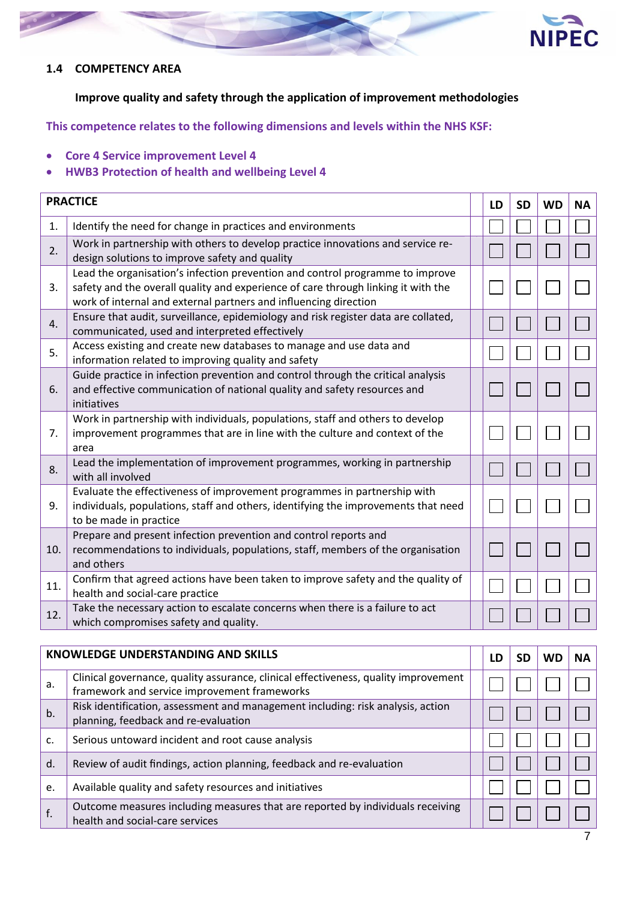

#### **1.4 COMPETENCY AREA**

**Improve quality and safety through the application of improvement methodologies**

- **Core 4 Service improvement Level 4**
- **HWB3 Protection of health and wellbeing Level 4**

|     | <b>PRACTICE</b>                                                                                                                                                                                                                        | LD | <b>SD</b> | <b>WD</b> | <b>NA</b> |
|-----|----------------------------------------------------------------------------------------------------------------------------------------------------------------------------------------------------------------------------------------|----|-----------|-----------|-----------|
| 1.  | Identify the need for change in practices and environments                                                                                                                                                                             |    |           |           |           |
| 2.  | Work in partnership with others to develop practice innovations and service re-<br>design solutions to improve safety and quality                                                                                                      |    |           |           |           |
| 3.  | Lead the organisation's infection prevention and control programme to improve<br>safety and the overall quality and experience of care through linking it with the<br>work of internal and external partners and influencing direction |    |           |           |           |
| 4.  | Ensure that audit, surveillance, epidemiology and risk register data are collated,<br>communicated, used and interpreted effectively                                                                                                   |    |           |           |           |
| 5.  | Access existing and create new databases to manage and use data and<br>information related to improving quality and safety                                                                                                             |    |           |           |           |
| 6.  | Guide practice in infection prevention and control through the critical analysis<br>and effective communication of national quality and safety resources and<br>initiatives                                                            |    |           |           |           |
| 7.  | Work in partnership with individuals, populations, staff and others to develop<br>improvement programmes that are in line with the culture and context of the<br>area                                                                  |    |           |           |           |
| 8.  | Lead the implementation of improvement programmes, working in partnership<br>with all involved                                                                                                                                         |    |           |           |           |
| 9.  | Evaluate the effectiveness of improvement programmes in partnership with<br>individuals, populations, staff and others, identifying the improvements that need<br>to be made in practice                                               |    |           |           |           |
| 10. | Prepare and present infection prevention and control reports and<br>recommendations to individuals, populations, staff, members of the organisation<br>and others                                                                      |    |           |           |           |
| 11. | Confirm that agreed actions have been taken to improve safety and the quality of<br>health and social-care practice                                                                                                                    |    |           |           |           |
| 12. | Take the necessary action to escalate concerns when there is a failure to act<br>which compromises safety and quality.                                                                                                                 |    |           |           |           |

|    | <b>KNOWLEDGE UNDERSTANDING AND SKILLS</b>                                                                                           | LD |  | NА |
|----|-------------------------------------------------------------------------------------------------------------------------------------|----|--|----|
| a. | Clinical governance, quality assurance, clinical effectiveness, quality improvement<br>framework and service improvement frameworks |    |  |    |
| b. | Risk identification, assessment and management including: risk analysis, action<br>planning, feedback and re-evaluation             |    |  |    |
| c. | Serious untoward incident and root cause analysis                                                                                   |    |  |    |
| d. | Review of audit findings, action planning, feedback and re-evaluation                                                               |    |  |    |
| e. | Available quality and safety resources and initiatives                                                                              |    |  |    |
| f. | Outcome measures including measures that are reported by individuals receiving<br>health and social-care services                   |    |  |    |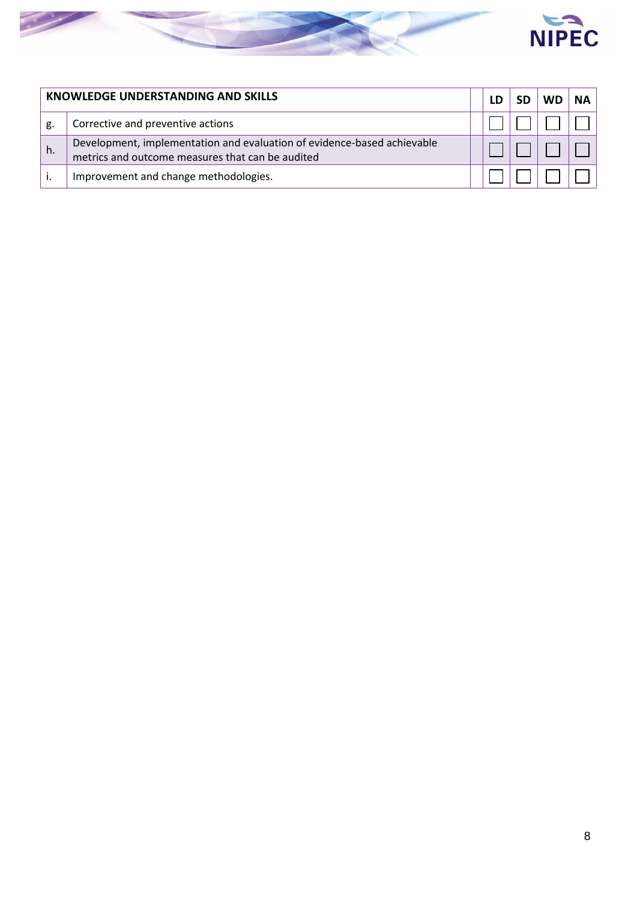

|    | KNOWLEDGE UNDERSTANDING AND SKILLS                                                                                          |  |  | NΔ |
|----|-----------------------------------------------------------------------------------------------------------------------------|--|--|----|
| g. | Corrective and preventive actions                                                                                           |  |  |    |
| h. | Development, implementation and evaluation of evidence-based achievable<br>metrics and outcome measures that can be audited |  |  |    |
|    | Improvement and change methodologies.                                                                                       |  |  |    |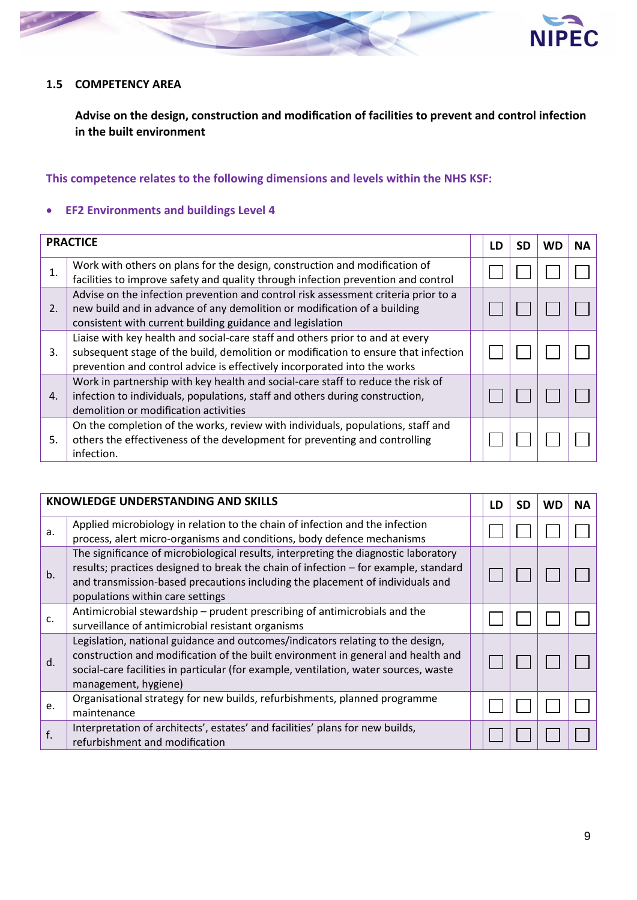



#### **1.5 COMPETENCY AREA**

**Advise on the design, construction and modification of facilities to prevent and control infection in the built environment**

#### **This competence relates to the following dimensions and levels within the NHS KSF:**

#### **EF2 Environments and buildings Level 4**

|    | <b>PRACTICE</b>                                                                                                                                                                                                                                 | LD | SD | WD | <b>NA</b> |
|----|-------------------------------------------------------------------------------------------------------------------------------------------------------------------------------------------------------------------------------------------------|----|----|----|-----------|
| 1. | Work with others on plans for the design, construction and modification of<br>facilities to improve safety and quality through infection prevention and control                                                                                 |    |    |    |           |
| 2. | Advise on the infection prevention and control risk assessment criteria prior to a<br>new build and in advance of any demolition or modification of a building<br>consistent with current building guidance and legislation                     |    |    |    |           |
| 3. | Liaise with key health and social-care staff and others prior to and at every<br>subsequent stage of the build, demolition or modification to ensure that infection<br>prevention and control advice is effectively incorporated into the works |    |    |    |           |
| 4. | Work in partnership with key health and social-care staff to reduce the risk of<br>infection to individuals, populations, staff and others during construction,<br>demolition or modification activities                                        |    |    |    |           |
| 5. | On the completion of the works, review with individuals, populations, staff and<br>others the effectiveness of the development for preventing and controlling<br>infection.                                                                     |    |    |    |           |

|    | <b>KNOWLEDGE UNDERSTANDING AND SKILLS</b>                                                                                                                                                                                                                                                       | .D | SD | WD | ΝA |
|----|-------------------------------------------------------------------------------------------------------------------------------------------------------------------------------------------------------------------------------------------------------------------------------------------------|----|----|----|----|
| a. | Applied microbiology in relation to the chain of infection and the infection<br>process, alert micro-organisms and conditions, body defence mechanisms                                                                                                                                          |    |    |    |    |
| b. | The significance of microbiological results, interpreting the diagnostic laboratory<br>results; practices designed to break the chain of infection - for example, standard<br>and transmission-based precautions including the placement of individuals and<br>populations within care settings |    |    |    |    |
| C. | Antimicrobial stewardship – prudent prescribing of antimicrobials and the<br>surveillance of antimicrobial resistant organisms                                                                                                                                                                  |    |    |    |    |
| d. | Legislation, national guidance and outcomes/indicators relating to the design,<br>construction and modification of the built environment in general and health and<br>social-care facilities in particular (for example, ventilation, water sources, waste<br>management, hygiene)              |    |    |    |    |
| e. | Organisational strategy for new builds, refurbishments, planned programme<br>maintenance                                                                                                                                                                                                        |    |    |    |    |
| f. | Interpretation of architects', estates' and facilities' plans for new builds,<br>refurbishment and modification                                                                                                                                                                                 |    |    |    |    |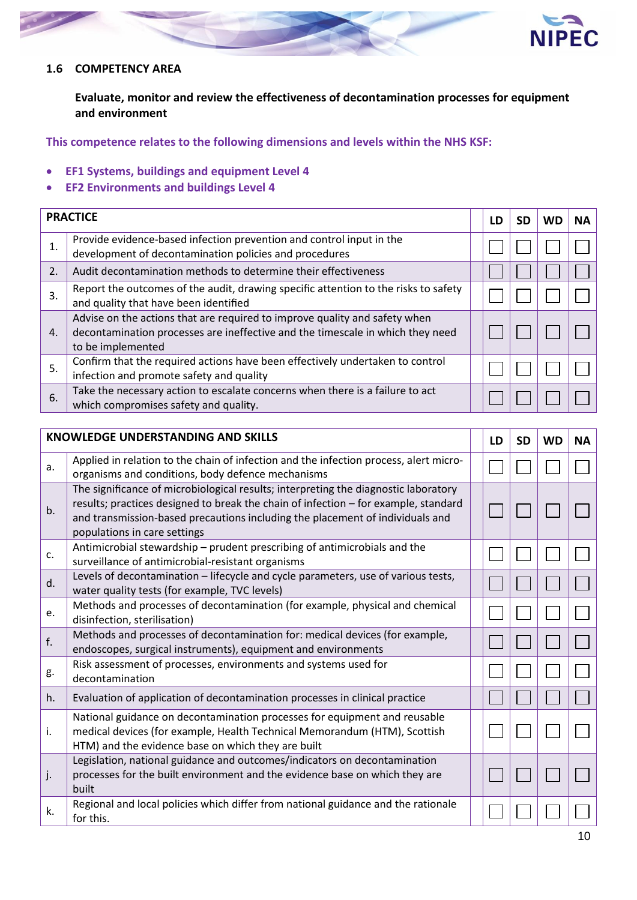

#### **1.6 COMPETENCY AREA**

**Evaluate, monitor and review the effectiveness of decontamination processes for equipment and environment**

- **EF1 Systems, buildings and equipment Level 4**
- **EF2 Environments and buildings Level 4**

| <b>PRACTICE</b> |                                                                                                                                                                                   | LD |  | NА |
|-----------------|-----------------------------------------------------------------------------------------------------------------------------------------------------------------------------------|----|--|----|
| 1.              | Provide evidence-based infection prevention and control input in the<br>development of decontamination policies and procedures                                                    |    |  |    |
| 2.              | Audit decontamination methods to determine their effectiveness                                                                                                                    |    |  |    |
| 3.              | Report the outcomes of the audit, drawing specific attention to the risks to safety<br>and quality that have been identified                                                      |    |  |    |
| $\mathbf{4}$ .  | Advise on the actions that are required to improve quality and safety when<br>decontamination processes are ineffective and the timescale in which they need<br>to be implemented |    |  |    |
| 5.              | Confirm that the required actions have been effectively undertaken to control<br>infection and promote safety and quality                                                         |    |  |    |
| 6.              | Take the necessary action to escalate concerns when there is a failure to act<br>which compromises safety and quality.                                                            |    |  |    |

| <b>KNOWLEDGE UNDERSTANDING AND SKILLS</b> |                                                                                                                                                                                                                                                                                             | LD | <b>SD</b> | <b>WD</b> | <b>NA</b> |
|-------------------------------------------|---------------------------------------------------------------------------------------------------------------------------------------------------------------------------------------------------------------------------------------------------------------------------------------------|----|-----------|-----------|-----------|
| a.                                        | Applied in relation to the chain of infection and the infection process, alert micro-<br>organisms and conditions, body defence mechanisms                                                                                                                                                  |    |           |           |           |
| b.                                        | The significance of microbiological results; interpreting the diagnostic laboratory<br>results; practices designed to break the chain of infection - for example, standard<br>and transmission-based precautions including the placement of individuals and<br>populations in care settings |    |           |           |           |
| c.                                        | Antimicrobial stewardship - prudent prescribing of antimicrobials and the<br>surveillance of antimicrobial-resistant organisms                                                                                                                                                              |    |           |           |           |
| d.                                        | Levels of decontamination - lifecycle and cycle parameters, use of various tests,<br>water quality tests (for example, TVC levels)                                                                                                                                                          |    |           |           |           |
| e.                                        | Methods and processes of decontamination (for example, physical and chemical<br>disinfection, sterilisation)                                                                                                                                                                                |    |           |           |           |
| f.                                        | Methods and processes of decontamination for: medical devices (for example,<br>endoscopes, surgical instruments), equipment and environments                                                                                                                                                |    |           |           |           |
| g.                                        | Risk assessment of processes, environments and systems used for<br>decontamination                                                                                                                                                                                                          |    |           |           |           |
| h.                                        | Evaluation of application of decontamination processes in clinical practice                                                                                                                                                                                                                 |    |           |           |           |
| i.                                        | National guidance on decontamination processes for equipment and reusable<br>medical devices (for example, Health Technical Memorandum (HTM), Scottish<br>HTM) and the evidence base on which they are built                                                                                |    |           |           |           |
| j.                                        | Legislation, national guidance and outcomes/indicators on decontamination<br>processes for the built environment and the evidence base on which they are<br>built                                                                                                                           |    |           |           |           |
| k.                                        | Regional and local policies which differ from national guidance and the rationale<br>for this.                                                                                                                                                                                              |    |           |           |           |